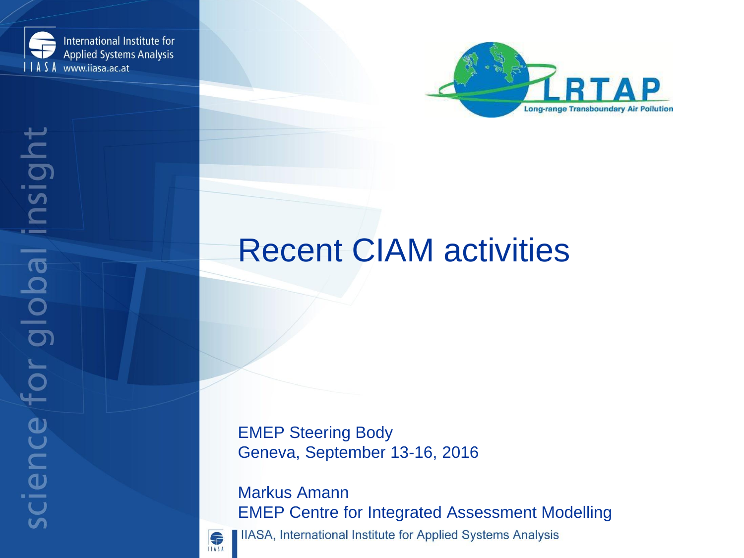



# Recent CIAM activities

EMEP Steering Body Geneva, September 13-16, 2016

Markus Amann EMEP Centre for Integrated Assessment Modelling **IIASA, International Institute for Applied Systems Analysis** 

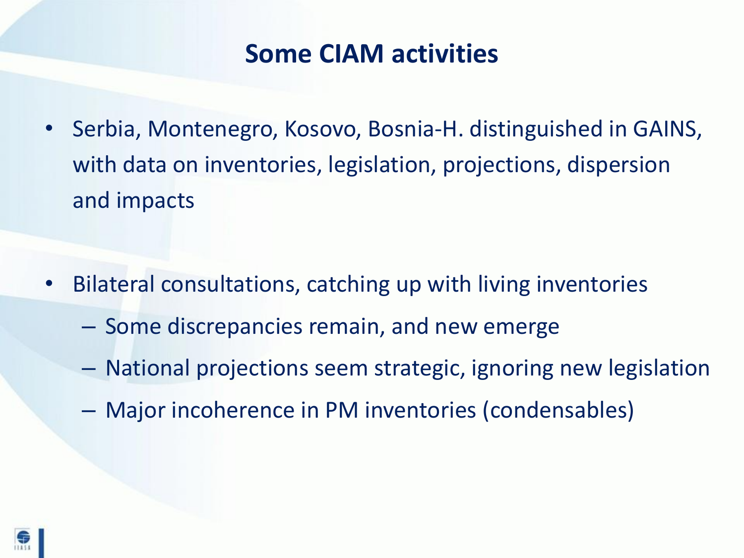### **Some CIAM activities**

• Serbia, Montenegro, Kosovo, Bosnia-H. distinguished in GAINS, with data on inventories, legislation, projections, dispersion and impacts

- Bilateral consultations, catching up with living inventories
	- Some discrepancies remain, and new emerge
	- National projections seem strategic, ignoring new legislation
	- Major incoherence in PM inventories (condensables)

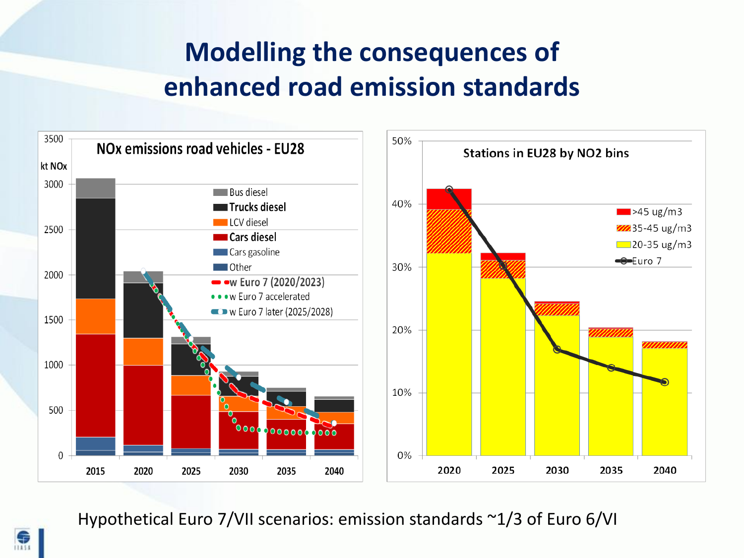# **Modelling the consequences of enhanced road emission standards**



Hypothetical Euro 7/VII scenarios: emission standards ~1/3 of Euro 6/VI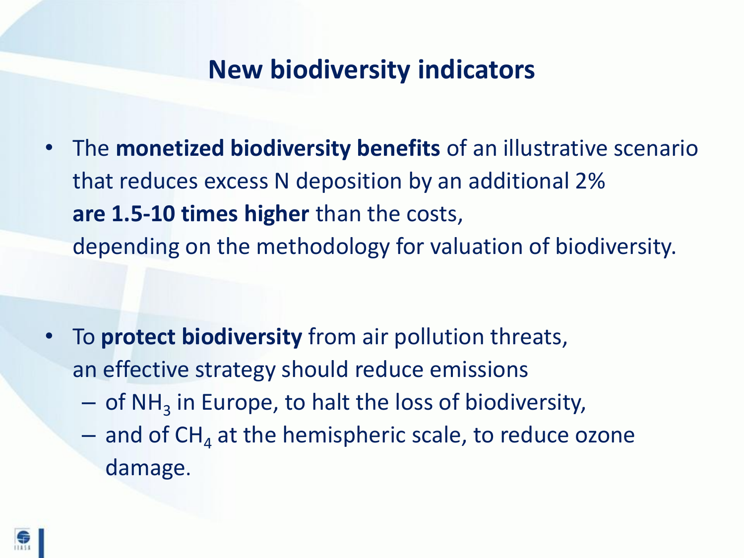### **New biodiversity indicators**

• The **monetized biodiversity benefits** of an illustrative scenario that reduces excess N deposition by an additional 2% **are 1.5-10 times higher** than the costs, depending on the methodology for valuation of biodiversity.

- To **protect biodiversity** from air pollution threats, an effective strategy should reduce emissions
	- $-$  of NH<sub>3</sub> in Europe, to halt the loss of biodiversity,
	- $-$  and of CH<sub>4</sub> at the hemispheric scale, to reduce ozone damage.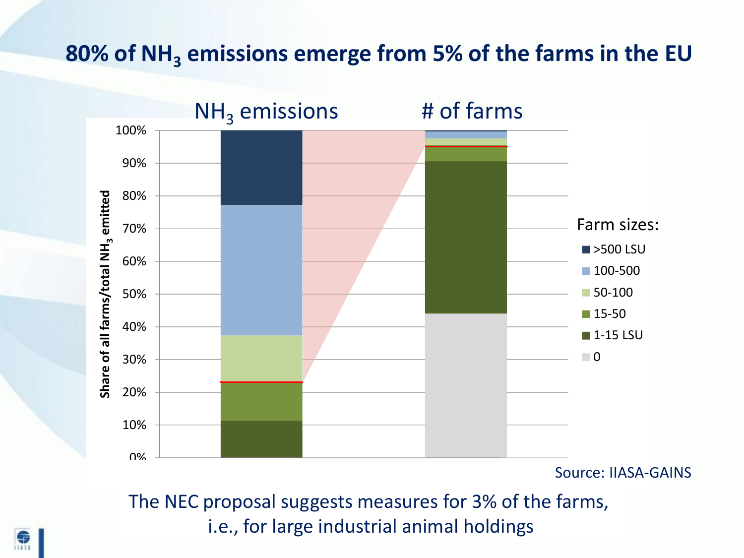### **80% of NH<sup>3</sup> emissions emerge from 5% of the farms in the EU**



Source: IIASA-GAINS

The NEC proposal suggests measures for 3% of the farms, i.e., for large industrial animal holdings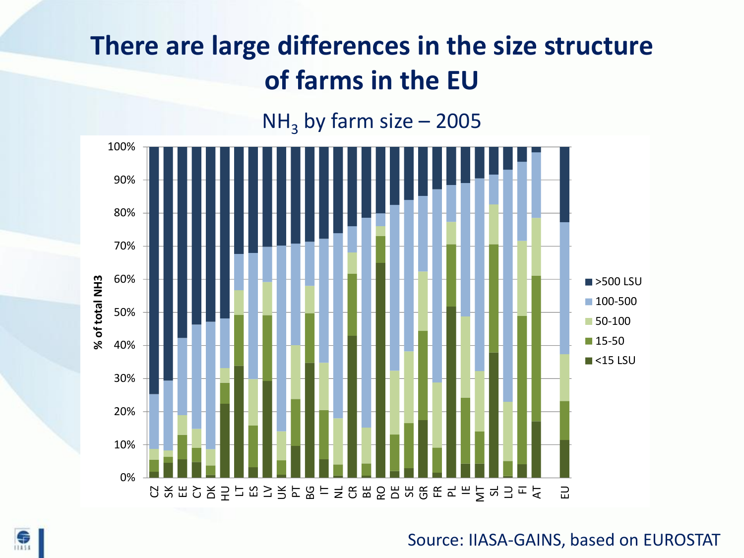# **There are large differences in the size structure of farms in the EU**





#### Source: IIASA-GAINS, based on EUROSTAT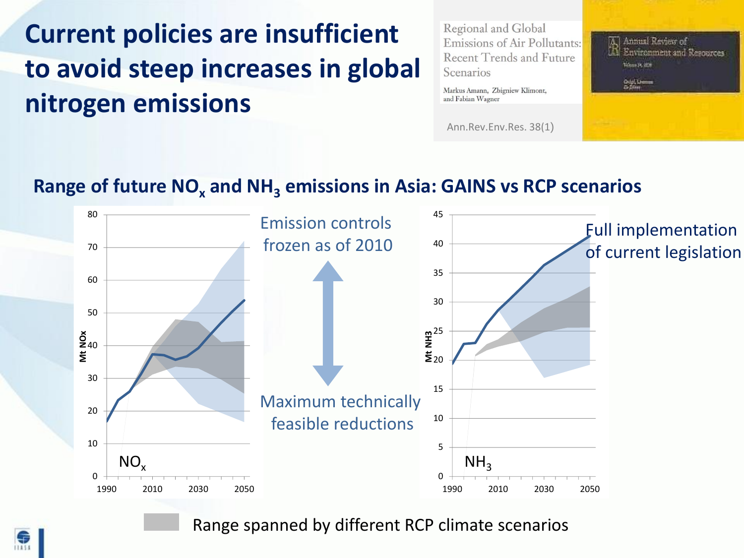# **Current policies are insufficient to avoid steep increases in global nitrogen emissions**

Regional and Global **Emissions of Air Pollutants: Recent Trends and Future** Scenarios

Markus Amann, Zbigniew Klimont, and Fabian Wagner

Ann.Rev.Env.Res. 38(1)



#### **Range of future NO<sup>x</sup> and NH<sup>3</sup> emissions in Asia: GAINS vs RCP scenarios**



Range spanned by different RCP climate scenarios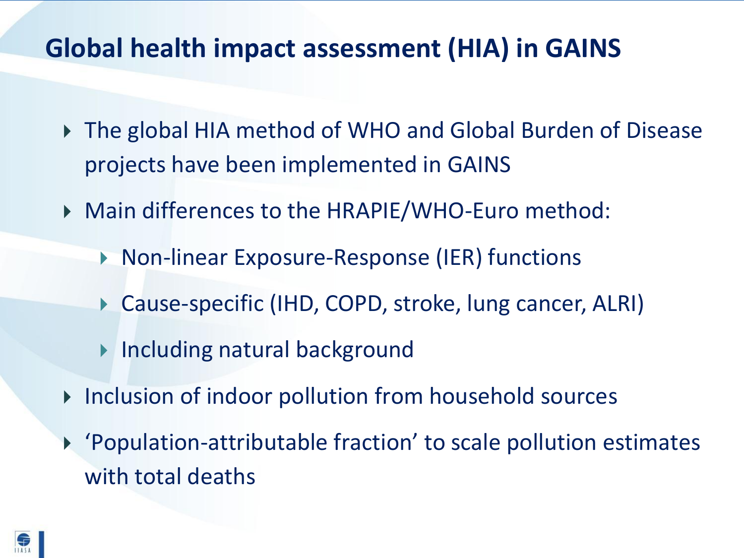# **Global health impact assessment (HIA) in GAINS**

- ▶ The global HIA method of WHO and Global Burden of Disease projects have been implemented in GAINS
- Main differences to the HRAPIE/WHO-Euro method:
	- ▶ Non-linear Exposure-Response (IER) functions
	- Cause-specific (IHD, COPD, stroke, lung cancer, ALRI)
	- **Including natural background**
- ▶ Inclusion of indoor pollution from household sources
- 'Population-attributable fraction' to scale pollution estimates with total deaths

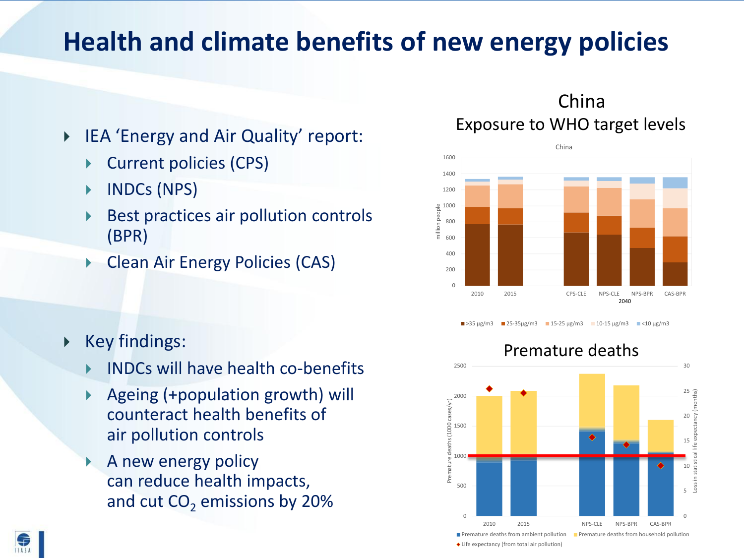# **Health and climate benefits of new energy policies**

- ▶ IEA 'Energy and Air Quality' report:
	- Current policies (CPS)
	- INDCs (NPS)
	- Best practices air pollution controls (BPR)
	- Clean Air Energy Policies (CAS)

Key findings:

 $11454$ 

- INDCs will have health co-benefits
- Ageing (+population growth) will counteract health benefits of air pollution controls
- A new energy policy can reduce health impacts, and cut  $CO<sub>2</sub>$  emissions by 20%

#### Exposure to WHO target levels China





>35 μg/m3 **25-35μg/m3** 15-25 μg/m3 10-15 μg/m3  $\le$ 10 μg/m3

Life expectancy (from total air pollution)